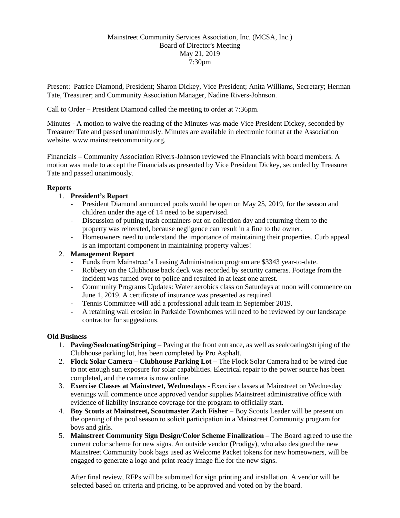# Mainstreet Community Services Association, Inc. (MCSA, Inc.) Board of Director's Meeting May 21, 2019 7:30pm

Present: Patrice Diamond, President; Sharon Dickey, Vice President; Anita Williams, Secretary; Herman Tate, Treasurer; and Community Association Manager, Nadine Rivers-Johnson.

Call to Order – President Diamond called the meeting to order at 7:36pm.

Minutes - A motion to waive the reading of the Minutes was made Vice President Dickey, seconded by Treasurer Tate and passed unanimously. Minutes are available in electronic format at the Association website, www.mainstreetcommunity.org.

Financials – Community Association Rivers-Johnson reviewed the Financials with board members. A motion was made to accept the Financials as presented by Vice President Dickey, seconded by Treasurer Tate and passed unanimously.

#### **Reports**

## 1. **President's Report**

- President Diamond announced pools would be open on May 25, 2019, for the season and children under the age of 14 need to be supervised.
- Discussion of putting trash containers out on collection day and returning them to the property was reiterated, because negligence can result in a fine to the owner.
- Homeowners need to understand the importance of maintaining their properties. Curb appeal is an important component in maintaining property values!

# 2. **Management Report**

- Funds from Mainstreet's Leasing Administration program are \$3343 year-to-date.
- Robbery on the Clubhouse back deck was recorded by security cameras. Footage from the incident was turned over to police and resulted in at least one arrest.
- Community Programs Updates: Water aerobics class on Saturdays at noon will commence on June 1, 2019. A certificate of insurance was presented as required.
- Tennis Committee will add a professional adult team in September 2019.
- A retaining wall erosion in Parkside Townhomes will need to be reviewed by our landscape contractor for suggestions.

## **Old Business**

- 1. **Paving/Sealcoating/Striping** Paving at the front entrance, as well as sealcoating/striping of the Clubhouse parking lot, has been completed by Pro Asphalt.
- 2. **Flock Solar Camera – Clubhouse Parking Lot** The Flock Solar Camera had to be wired due to not enough sun exposure for solar capabilities. Electrical repair to the power source has been completed, and the camera is now online.
- 3. **Exercise Classes at Mainstreet, Wednesdays** Exercise classes at Mainstreet on Wednesday evenings will commence once approved vendor supplies Mainstreet administrative office with evidence of liability insurance coverage for the program to officially start.
- 4. **Boy Scouts at Mainstreet, Scoutmaster Zach Fisher** Boy Scouts Leader will be present on the opening of the pool season to solicit participation in a Mainstreet Community program for boys and girls.
- 5. **Mainstreet Community Sign Design/Color Scheme Finalization** The Board agreed to use the current color scheme for new signs. An outside vendor (Prodigy), who also designed the new Mainstreet Community book bags used as Welcome Packet tokens for new homeowners, will be engaged to generate a logo and print-ready image file for the new signs.

After final review, RFPs will be submitted for sign printing and installation. A vendor will be selected based on criteria and pricing, to be approved and voted on by the board.